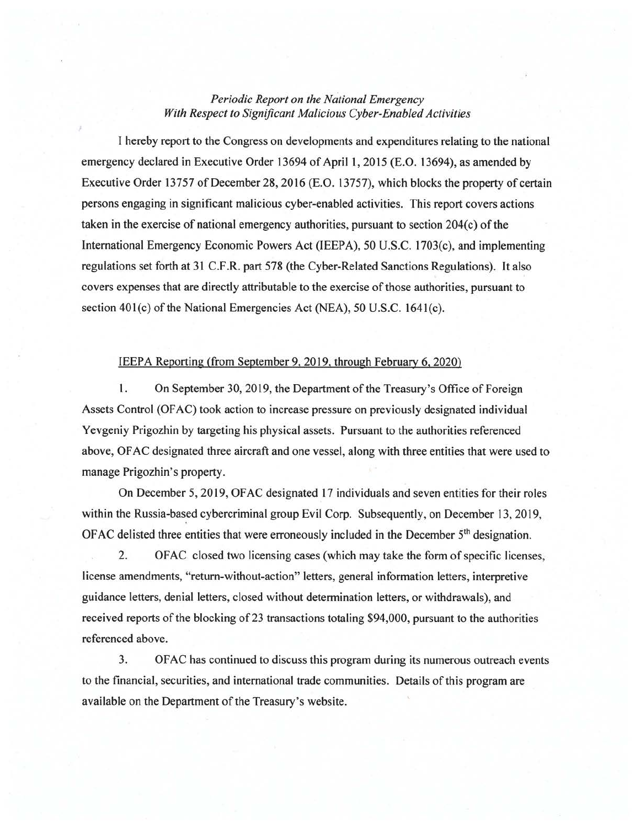## *Periodic Report on the National Emergency With Respect to Significant Malicious Cyber-Enabled Activities*

I hereby report to the Congress on developments and expenditures relating to the national emergency declared in Executive Order 13694 of April 1, 2015 (E.O. 13694), as amended by Executive Order 13757 of December 28, 2016 (E.O. 13757), which blocks the property of certain persons engaging in significant malicious cyber-enabled activities. This report covers actions taken in the exercise of national emergency authorities, pursuant to section  $204(c)$  of the International Emergency Economic Powers Act (IEEPA), 50 U.S.C. 1703(c), and implementing regulations set forth at 31 C.F.R. part 578 (the Cyber-Related Sanctions Regulations). It also covers expenses that are directly attributable to the exercise of those authorities, pursuant to section 401(c) of the National Emergencies Act (NEA), 50 U.S.C. 1641(c).

## IEEPA Reporting (from September 9, 2019. through February 6, 2020)

1. On September 30, 2019, the Department of the Treasury's Office of Foreign Assets Control (OFAC) took action to increase pressure on previously designated individual Yevgeniy Prigozhin by targeting his physical assets. Pursuant to the authorities referenced above, OF AC designated three aircraft and one vessel, along with three entities that were used to manage Prigozhin's property.

On December 5, 2019, OF AC designated 17 individuals and seven entities for their roles within the Russia-based cybercriminal group Evil Corp. Subsequently, on December 13, 2019, OFAC delisted three entities that were erroneously included in the December  $5<sup>th</sup>$  designation.

2. OFAC closed two licensing cases (which may take the form of specific licenses, license amendments, "return-without-action" letters, general information letters, interpretive guidance letters, denial letters, closed without determination letters, or withdrawals), and received reports of the blocking of 23 transactions totaling \$94,000, pursuant to the authorities referenced above.

3. OF AC has continued to discuss this program during its numerous outreach events to the financial, securities, and international trade communities. Details of this program are available on the Department of the Treasury's website.